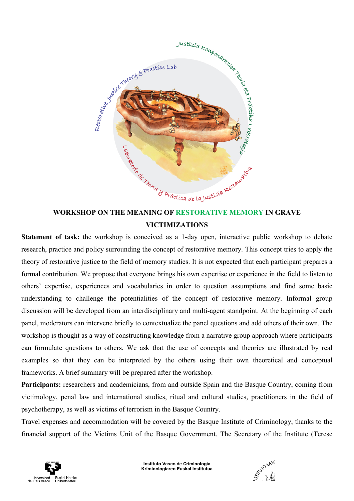

# WORKSHOP ON THE MEANING OF RESTORATIVE MEMORY IN GRAVE VICTIMIZATIONS

Statement of task: the workshop is conceived as a 1-day open, interactive public workshop to debate research, practice and policy surrounding the concept of restorative memory. This concept tries to apply the theory of restorative justice to the field of memory studies. It is not expected that each participant prepares a formal contribution. We propose that everyone brings his own expertise or experience in the field to listen to others' expertise, experiences and vocabularies in order to question assumptions and find some basic understanding to challenge the potentialities of the concept of restorative memory. Informal group discussion will be developed from an interdisciplinary and multi-agent standpoint. At the beginning of each panel, moderators can intervene briefly to contextualize the panel questions and add others of their own. The workshop is thought as a way of constructing knowledge from a narrative group approach where participants can formulate questions to others. We ask that the use of concepts and theories are illustrated by real examples so that they can be interpreted by the others using their own theoretical and conceptual frameworks. A brief summary will be prepared after the workshop.

Participants: researchers and academicians, from and outside Spain and the Basque Country, coming from victimology, penal law and international studies, ritual and cultural studies, practitioners in the field of psychotherapy, as well as victims of terrorism in the Basque Country.

Travel expenses and accommodation will be covered by the Basque Institute of Criminology, thanks to the financial support of the Victims Unit of the Basque Government. The Secretary of the Institute (Terese



Instituto Vasco de Criminología Kriminologiaren Euskal Institutua

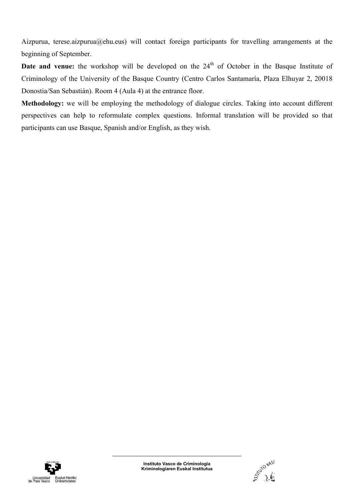Aizpurua, terese.aizpurua@ehu.eus) will contact foreign participants for travelling arrangements at the beginning of September.

**Date and venue:** the workshop will be developed on the  $24<sup>th</sup>$  of October in the Basque Institute of Criminology of the University of the Basque Country (Centro Carlos Santamaría, Plaza Elhuyar 2, 20018 Donostia/San Sebastián). Room 4 (Aula 4) at the entrance floor.

Methodology: we will be employing the methodology of dialogue circles. Taking into account different perspectives can help to reformulate complex questions. Informal translation will be provided so that participants can use Basque, Spanish and/or English, as they wish.



Instituto Vasco de Criminología Kriminologiaren Euskal Institutua

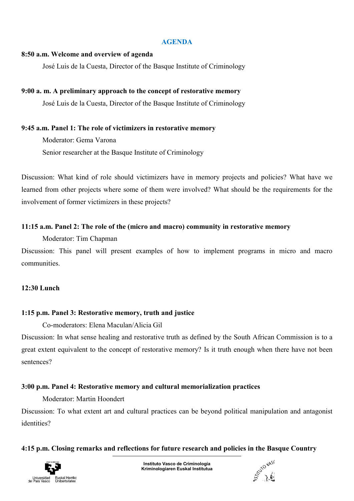#### AGENDA

#### 8:50 a.m. Welcome and overview of agenda

José Luis de la Cuesta, Director of the Basque Institute of Criminology

#### 9:00 a. m. A preliminary approach to the concept of restorative memory

José Luis de la Cuesta, Director of the Basque Institute of Criminology

#### 9:45 a.m. Panel 1: The role of victimizers in restorative memory

Moderator: Gema Varona

Senior researcher at the Basque Institute of Criminology

Discussion: What kind of role should victimizers have in memory projects and policies? What have we learned from other projects where some of them were involved? What should be the requirements for the involvement of former victimizers in these projects?

#### 11:15 a.m. Panel 2: The role of the (micro and macro) community in restorative memory

Moderator: Tim Chapman

Discussion: This panel will present examples of how to implement programs in micro and macro communities.

#### 12:30 Lunch

## 1:15 p.m. Panel 3: Restorative memory, truth and justice

Co-moderators: Elena Maculan/Alicia Gil

Discussion: In what sense healing and restorative truth as defined by the South African Commission is to a great extent equivalent to the concept of restorative memory? Is it truth enough when there have not been sentences?

## 3:00 p.m. Panel 4: Restorative memory and cultural memorialization practices

### Moderator: Martin Hoondert

Discussion: To what extent art and cultural practices can be beyond political manipulation and antagonist identities?

## 4:15 p.m. Closing remarks and reflections for future research and policies in the Basque Country